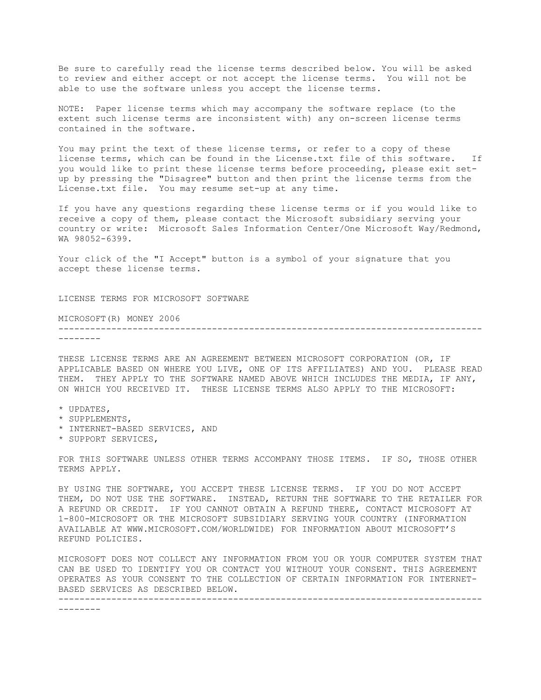Be sure to carefully read the license terms described below. You will be asked to review and either accept or not accept the license terms. You will not be able to use the software unless you accept the license terms.

NOTE: Paper license terms which may accompany the software replace (to the extent such license terms are inconsistent with) any on-screen license terms contained in the software.

You may print the text of these license terms, or refer to a copy of these license terms, which can be found in the License.txt file of this software. If you would like to print these license terms before proceeding, please exit setup by pressing the "Disagree" button and then print the license terms from the License.txt file. You may resume set-up at any time.

If you have any questions regarding these license terms or if you would like to receive a copy of them, please contact the Microsoft subsidiary serving your country or write: Microsoft Sales Information Center/One Microsoft Way/Redmond, WA 98052-6399.

Your click of the "I Accept" button is a symbol of your signature that you accept these license terms.

LICENSE TERMS FOR MICROSOFT SOFTWARE

MICROSOFT(R) MONEY 2006

-------------------------------------------------------------------------------- --------

THESE LICENSE TERMS ARE AN AGREEMENT BETWEEN MICROSOFT CORPORATION (OR, IF APPLICABLE BASED ON WHERE YOU LIVE, ONE OF ITS AFFILIATES) AND YOU. PLEASE READ THEM. THEY APPLY TO THE SOFTWARE NAMED ABOVE WHICH INCLUDES THE MEDIA, IF ANY, ON WHICH YOU RECEIVED IT. THESE LICENSE TERMS ALSO APPLY TO THE MICROSOFT:

- \* UPDATES,
- \* SUPPLEMENTS,
- \* INTERNET-BASED SERVICES, AND
- \* SUPPORT SERVICES,

FOR THIS SOFTWARE UNLESS OTHER TERMS ACCOMPANY THOSE ITEMS. IF SO, THOSE OTHER TERMS APPLY.

BY USING THE SOFTWARE, YOU ACCEPT THESE LICENSE TERMS. IF YOU DO NOT ACCEPT THEM, DO NOT USE THE SOFTWARE. INSTEAD, RETURN THE SOFTWARE TO THE RETAILER FOR A REFUND OR CREDIT. IF YOU CANNOT OBTAIN A REFUND THERE, CONTACT MICROSOFT AT 1-800-MICROSOFT OR THE MICROSOFT SUBSIDIARY SERVING YOUR COUNTRY (INFORMATION AVAILABLE AT WWW.MICROSOFT.COM/WORLDWIDE) FOR INFORMATION ABOUT MICROSOFT'S REFUND POLICIES.

MICROSOFT DOES NOT COLLECT ANY INFORMATION FROM YOU OR YOUR COMPUTER SYSTEM THAT CAN BE USED TO IDENTIFY YOU OR CONTACT YOU WITHOUT YOUR CONSENT. THIS AGREEMENT OPERATES AS YOUR CONSENT TO THE COLLECTION OF CERTAIN INFORMATION FOR INTERNET-BASED SERVICES AS DESCRIBED BELOW. --------------------------------------------------------------------------------

--------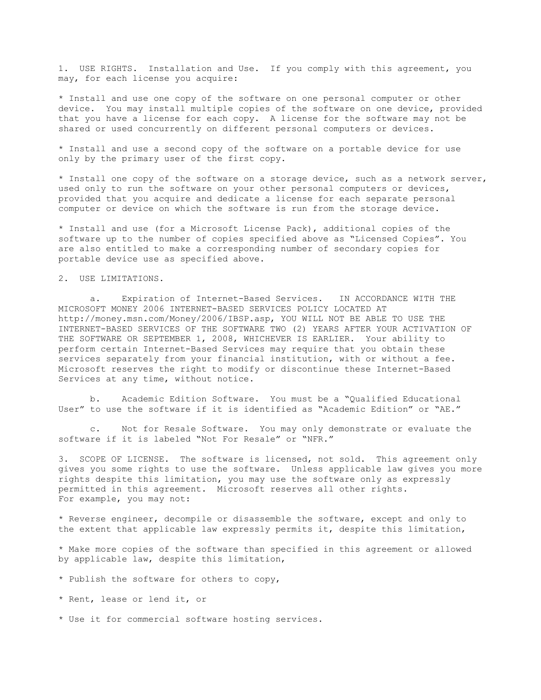1. USE RIGHTS. Installation and Use. If you comply with this agreement, you may, for each license you acquire:

\* Install and use one copy of the software on one personal computer or other device. You may install multiple copies of the software on one device, provided that you have a license for each copy. A license for the software may not be shared or used concurrently on different personal computers or devices.

\* Install and use a second copy of the software on a portable device for use only by the primary user of the first copy.

\* Install one copy of the software on a storage device, such as a network server, used only to run the software on your other personal computers or devices, provided that you acquire and dedicate a license for each separate personal computer or device on which the software is run from the storage device.

\* Install and use (for a Microsoft License Pack), additional copies of the software up to the number of copies specified above as "Licensed Copies". You are also entitled to make a corresponding number of secondary copies for portable device use as specified above.

2. USE LIMITATIONS.

 a. Expiration of Internet-Based Services. IN ACCORDANCE WITH THE MICROSOFT MONEY 2006 INTERNET-BASED SERVICES POLICY LOCATED AT http://money.msn.com/Money/2006/IBSP.asp, YOU WILL NOT BE ABLE TO USE THE INTERNET-BASED SERVICES OF THE SOFTWARE TWO (2) YEARS AFTER YOUR ACTIVATION OF THE SOFTWARE OR SEPTEMBER 1, 2008, WHICHEVER IS EARLIER. Your ability to perform certain Internet-Based Services may require that you obtain these services separately from your financial institution, with or without a fee. Microsoft reserves the right to modify or discontinue these Internet-Based Services at any time, without notice.

 b. Academic Edition Software. You must be a "Qualified Educational User" to use the software if it is identified as "Academic Edition" or "AE."

 c. Not for Resale Software. You may only demonstrate or evaluate the software if it is labeled "Not For Resale" or "NFR."

3. SCOPE OF LICENSE. The software is licensed, not sold. This agreement only gives you some rights to use the software. Unless applicable law gives you more rights despite this limitation, you may use the software only as expressly permitted in this agreement. Microsoft reserves all other rights. For example, you may not:

\* Reverse engineer, decompile or disassemble the software, except and only to the extent that applicable law expressly permits it, despite this limitation,

\* Make more copies of the software than specified in this agreement or allowed by applicable law, despite this limitation,

- \* Publish the software for others to copy,
- \* Rent, lease or lend it, or
- \* Use it for commercial software hosting services.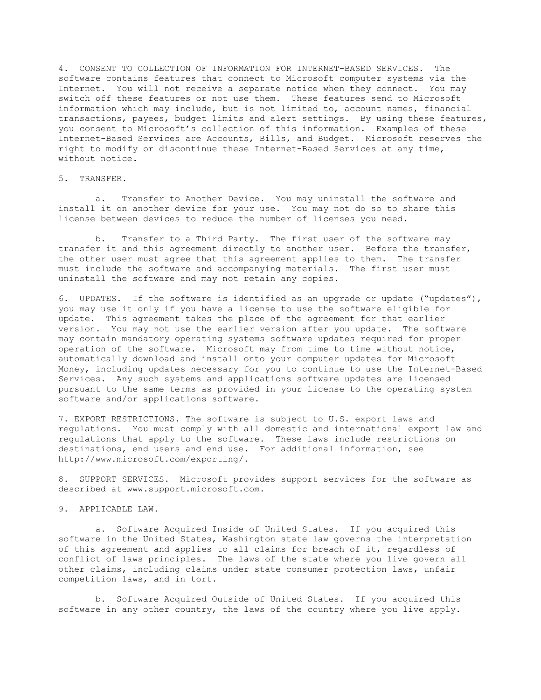4. CONSENT TO COLLECTION OF INFORMATION FOR INTERNET-BASED SERVICES. The software contains features that connect to Microsoft computer systems via the Internet. You will not receive a separate notice when they connect. You may switch off these features or not use them. These features send to Microsoft information which may include, but is not limited to, account names, financial transactions, payees, budget limits and alert settings. By using these features, you consent to Microsoft's collection of this information. Examples of these Internet-Based Services are Accounts, Bills, and Budget. Microsoft reserves the right to modify or discontinue these Internet-Based Services at any time, without notice.

## 5. TRANSFER.

 a. Transfer to Another Device. You may uninstall the software and install it on another device for your use. You may not do so to share this license between devices to reduce the number of licenses you need.

 b. Transfer to a Third Party. The first user of the software may transfer it and this agreement directly to another user. Before the transfer, the other user must agree that this agreement applies to them. The transfer must include the software and accompanying materials. The first user must uninstall the software and may not retain any copies.

6. UPDATES. If the software is identified as an upgrade or update ("updates"), you may use it only if you have a license to use the software eligible for update. This agreement takes the place of the agreement for that earlier version. You may not use the earlier version after you update. The software may contain mandatory operating systems software updates required for proper operation of the software. Microsoft may from time to time without notice, automatically download and install onto your computer updates for Microsoft Money, including updates necessary for you to continue to use the Internet-Based Services. Any such systems and applications software updates are licensed pursuant to the same terms as provided in your license to the operating system software and/or applications software.

7. EXPORT RESTRICTIONS. The software is subject to U.S. export laws and regulations. You must comply with all domestic and international export law and regulations that apply to the software. These laws include restrictions on destinations, end users and end use. For additional information, see http://www.microsoft.com/exporting/.

8. SUPPORT SERVICES. Microsoft provides support services for the software as described at www.support.microsoft.com.

## 9. APPLICABLE LAW.

 a. Software Acquired Inside of United States. If you acquired this software in the United States, Washington state law governs the interpretation of this agreement and applies to all claims for breach of it, regardless of conflict of laws principles. The laws of the state where you live govern all other claims, including claims under state consumer protection laws, unfair competition laws, and in tort.

 b. Software Acquired Outside of United States. If you acquired this software in any other country, the laws of the country where you live apply.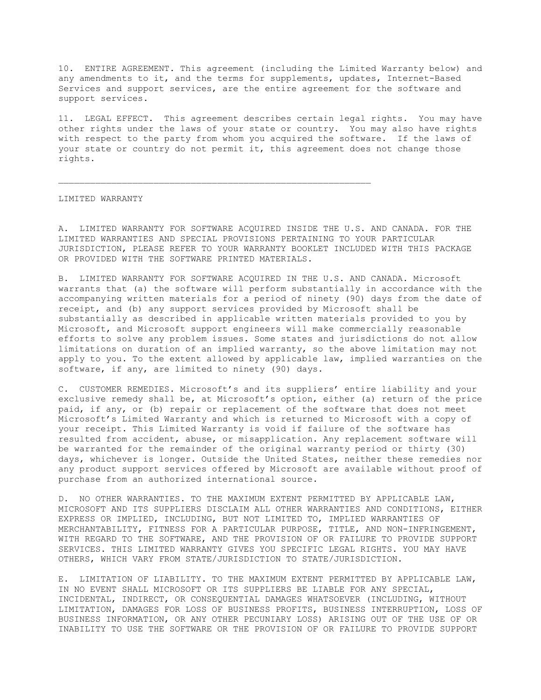10. ENTIRE AGREEMENT. This agreement (including the Limited Warranty below) and any amendments to it, and the terms for supplements, updates, Internet-Based Services and support services, are the entire agreement for the software and support services.

11. LEGAL EFFECT. This agreement describes certain legal rights. You may have other rights under the laws of your state or country. You may also have rights with respect to the party from whom you acquired the software. If the laws of your state or country do not permit it, this agreement does not change those rights.

\_\_\_\_\_\_\_\_\_\_\_\_\_\_\_\_\_\_\_\_\_\_\_\_\_\_\_\_\_\_\_\_\_\_\_\_\_\_\_\_\_\_\_\_\_\_\_\_\_\_\_\_\_\_\_\_\_\_\_

LIMITED WARRANTY

A. LIMITED WARRANTY FOR SOFTWARE ACQUIRED INSIDE THE U.S. AND CANADA. FOR THE LIMITED WARRANTIES AND SPECIAL PROVISIONS PERTAINING TO YOUR PARTICULAR JURISDICTION, PLEASE REFER TO YOUR WARRANTY BOOKLET INCLUDED WITH THIS PACKAGE OR PROVIDED WITH THE SOFTWARE PRINTED MATERIALS.

B. LIMITED WARRANTY FOR SOFTWARE ACQUIRED IN THE U.S. AND CANADA. Microsoft warrants that (a) the software will perform substantially in accordance with the accompanying written materials for a period of ninety (90) days from the date of receipt, and (b) any support services provided by Microsoft shall be substantially as described in applicable written materials provided to you by Microsoft, and Microsoft support engineers will make commercially reasonable efforts to solve any problem issues. Some states and jurisdictions do not allow limitations on duration of an implied warranty, so the above limitation may not apply to you. To the extent allowed by applicable law, implied warranties on the software, if any, are limited to ninety (90) days.

C. CUSTOMER REMEDIES. Microsoft's and its suppliers' entire liability and your exclusive remedy shall be, at Microsoft's option, either (a) return of the price paid, if any, or (b) repair or replacement of the software that does not meet Microsoft's Limited Warranty and which is returned to Microsoft with a copy of your receipt. This Limited Warranty is void if failure of the software has resulted from accident, abuse, or misapplication. Any replacement software will be warranted for the remainder of the original warranty period or thirty (30) days, whichever is longer. Outside the United States, neither these remedies nor any product support services offered by Microsoft are available without proof of purchase from an authorized international source.

D. NO OTHER WARRANTIES. TO THE MAXIMUM EXTENT PERMITTED BY APPLICABLE LAW, MICROSOFT AND ITS SUPPLIERS DISCLAIM ALL OTHER WARRANTIES AND CONDITIONS, EITHER EXPRESS OR IMPLIED, INCLUDING, BUT NOT LIMITED TO, IMPLIED WARRANTIES OF MERCHANTABILITY, FITNESS FOR A PARTICULAR PURPOSE, TITLE, AND NON-INFRINGEMENT, WITH REGARD TO THE SOFTWARE, AND THE PROVISION OF OR FAILURE TO PROVIDE SUPPORT SERVICES. THIS LIMITED WARRANTY GIVES YOU SPECIFIC LEGAL RIGHTS. YOU MAY HAVE OTHERS, WHICH VARY FROM STATE/JURISDICTION TO STATE/JURISDICTION.

E. LIMITATION OF LIABILITY. TO THE MAXIMUM EXTENT PERMITTED BY APPLICABLE LAW, IN NO EVENT SHALL MICROSOFT OR ITS SUPPLIERS BE LIABLE FOR ANY SPECIAL, INCIDENTAL, INDIRECT, OR CONSEQUENTIAL DAMAGES WHATSOEVER (INCLUDING, WITHOUT LIMITATION, DAMAGES FOR LOSS OF BUSINESS PROFITS, BUSINESS INTERRUPTION, LOSS OF BUSINESS INFORMATION, OR ANY OTHER PECUNIARY LOSS) ARISING OUT OF THE USE OF OR INABILITY TO USE THE SOFTWARE OR THE PROVISION OF OR FAILURE TO PROVIDE SUPPORT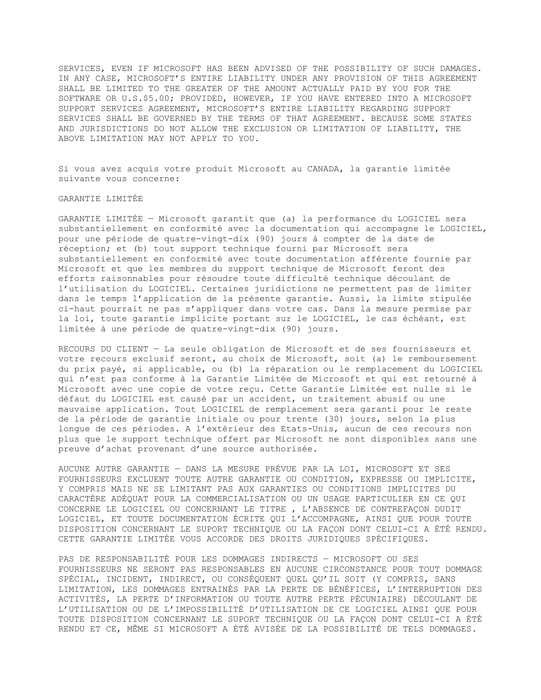SERVICES, EVEN IF MICROSOFT HAS BEEN ADVISED OF THE POSSIBILITY OF SUCH DAMAGES. IN ANY CASE, MICROSOFT'S ENTIRE LIABILITY UNDER ANY PROVISION OF THIS AGREEMENT SHALL BE LIMITED TO THE GREATER OF THE AMOUNT ACTUALLY PAID BY YOU FOR THE SOFTWARE OR U.S.\$5.00; PROVIDED, HOWEVER, IF YOU HAVE ENTERED INTO A MICROSOFT SUPPORT SERVICES AGREEMENT, MICROSOFT'S ENTIRE LIABILITY REGARDING SUPPORT SERVICES SHALL BE GOVERNED BY THE TERMS OF THAT AGREEMENT. BECAUSE SOME STATES AND JURISDICTIONS DO NOT ALLOW THE EXCLUSION OR LIMITATION OF LIABILITY, THE ABOVE LIMITATION MAY NOT APPLY TO YOU.

Si vous avez acquis votre produit Microsoft au CANADA, la garantie limitée suivante vous concerne:

GARANTIE LIMITÉE

GARANTIE LIMITÉE — Microsoft garantit que (a) la performance du LOGICIEL sera substantiellement en conformité avec la documentation qui accompagne le LOGICIEL, pour une période de quatre-vingt-dix (90) jours à compter de la date de réception; et (b) tout support technique fourni par Microsoft sera substantiellement en conformité avec toute documentation afférente fournie par Microsoft et que les membres du support technique de Microsoft feront des efforts raisonnables pour résoudre toute difficulté technique découlant de l'utilisation du LOGICIEL. Certaines juridictions ne permettent pas de limiter dans le temps l'application de la présente garantie. Aussi, la limite stipulée ci-haut pourrait ne pas s'appliquer dans votre cas. Dans la mesure permise par la loi, toute garantie implicite portant sur le LOGICIEL, le cas échéant, est limitée à une période de quatre-vingt-dix (90) jours.

RECOURS DU CLIENT — La seule obligation de Microsoft et de ses fournisseurs et votre recours exclusif seront, au choix de Microsoft, soit (a) le remboursement du prix payé, si applicable, ou (b) la réparation ou le remplacement du LOGICIEL qui n'est pas conforme à la Garantie Limitée de Microsoft et qui est retourné à Microsoft avec une copie de votre reçu. Cette Garantie Limitée est nulle si le défaut du LOGICIEL est causé par un accident, un traitement abusif ou une mauvaise application. Tout LOGICIEL de remplacement sera garanti pour le reste de la période de garantie initiale ou pour trente (30) jours, selon la plus longue de ces périodes. A l'extérieur des Etats-Unis, aucun de ces recours non plus que le support technique offert par Microsoft ne sont disponibles sans une preuve d'achat provenant d'une source authorisée.

AUCUNE AUTRE GARANTIE — DANS LA MESURE PRÉVUE PAR LA LOI, MICROSOFT ET SES FOURNISSEURS EXCLUENT TOUTE AUTRE GARANTIE OU CONDITION, EXPRESSE OU IMPLICITE, Y COMPRIS MAIS NE SE LIMITANT PAS AUX GARANTIES OU CONDITIONS IMPLICITES DU CARACTÈRE ADÉQUAT POUR LA COMMERCIALISATION OU UN USAGE PARTICULIER EN CE QUI CONCERNE LE LOGICIEL OU CONCERNANT LE TITRE , L'ABSENCE DE CONTREFAÇON DUDIT LOGICIEL, ET TOUTE DOCUMENTATION ÉCRITE QUI L'ACCOMPAGNE, AINSI QUE POUR TOUTE DISPOSITION CONCERNANT LE SUPORT TECHNIQUE OU LA FAÇON DONT CELUI-CI A ÉTÉ RENDU. CETTE GARANTIE LIMITÉE VOUS ACCORDE DES DROITS JURIDIQUES SPÉCIFIQUES.

PAS DE RESPONSABILITÉ POUR LES DOMMAGES INDIRECTS — MICROSOFT OU SES FOURNISSEURS NE SERONT PAS RESPONSABLES EN AUCUNE CIRCONSTANCE POUR TOUT DOMMAGE SPÉCIAL, INCIDENT, INDIRECT, OU CONSÉQUENT QUEL QU'IL SOIT (Y COMPRIS, SANS LIMITATION, LES DOMMAGES ENTRAINÉS PAR LA PERTE DE BÉNÉFICES, L'INTERRUPTION DES ACTIVITÉS, LA PERTE D'INFORMATION OU TOUTE AUTRE PERTE PÉCUNIAIRE) DÉCOULANT DE L'UTILISATION OU DE L'IMPOSSIBILITÉ D'UTILISATION DE CE LOGICIEL AINSI QUE POUR TOUTE DISPOSITION CONCERNANT LE SUPORT TECHNIQUE OU LA FAÇON DONT CELUI-CI A ÉTÉ RENDU ET CE, MÊME SI MICROSOFT A ÉTÉ AVISÉE DE LA POSSIBILITÉ DE TELS DOMMAGES.